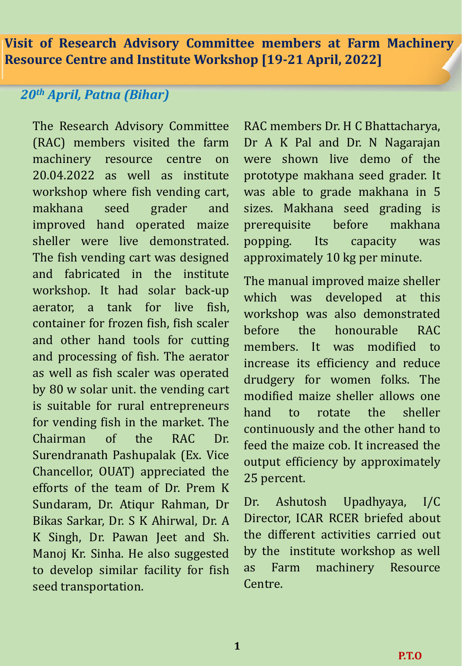# *20th April, Patna (Bihar)*

The Research Advisory Committee (RAC) members visited the farm machinery resource centre on 20.04.2022 as well as institute workshop where fish vending cart, makhana seed grader and improved hand operated maize sheller were live demonstrated. The fish vending cart was designed and fabricated in the institute workshop. It had solar back-up aerator, a tank for live fish, container for frozen fish, fish scaler and other hand tools for cutting and processing of fish. The aerator as well as fish scaler was operated by 80 w solar unit. the vending cart is suitable for rural entrepreneurs for vending fish in the market. The Chairman of the RAC Dr. Surendranath Pashupalak (Ex. Vice Chancellor, OUAT) appreciated the efforts of the team of Dr. Prem K Sundaram, Dr. Atiqur Rahman, Dr Bikas Sarkar, Dr. S K Ahirwal, Dr. A K Singh, Dr. Pawan Jeet and Sh. Manoj Kr. Sinha. He also suggested to develop similar facility for fish seed transportation.

RAC members Dr. H C Bhattacharya, Dr A K Pal and Dr. N Nagarajan were shown live demo of the prototype makhana seed grader. It was able to grade makhana in 5 sizes. Makhana seed grading is prerequisite before makhana popping. Its capacity was approximately 10 kg per minute.

The manual improved maize sheller which was developed at this workshop was also demonstrated before the honourable RAC members. It was modified to increase its efficiency and reduce drudgery for women folks. The modified maize sheller allows one hand to rotate the sheller continuously and the other hand to feed the maize cob. It increased the output efficiency by approximately 25 percent.

Dr. Ashutosh Upadhyaya, I/C Director, ICAR RCER briefed about the different activities carried out by the institute workshop as well as Farm machinery Resource Centre.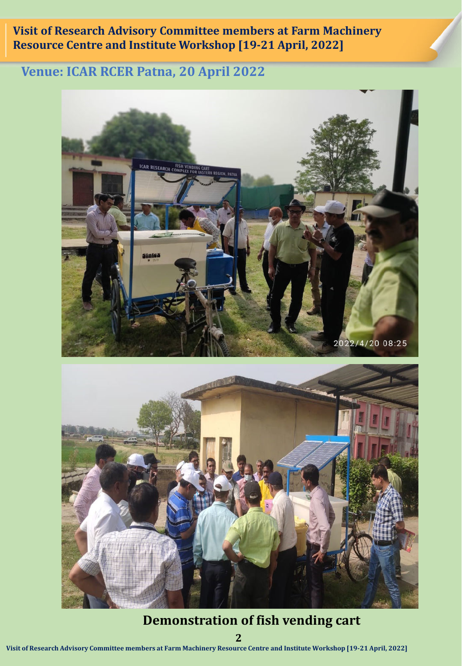# **Venue: ICAR RCER Patna, 20 April 2022**



## **Demonstration of fish vending cart**

**2**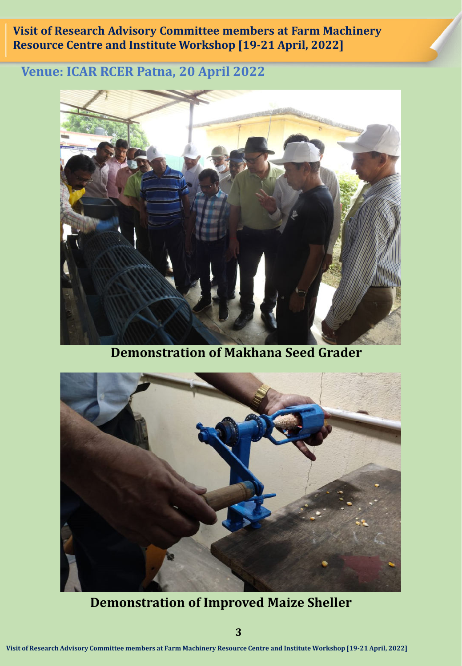## **Venue: ICAR RCER Patna, 20 April 2022**



**Demonstration of Makhana Seed Grader**



**Demonstration of Improved Maize Sheller**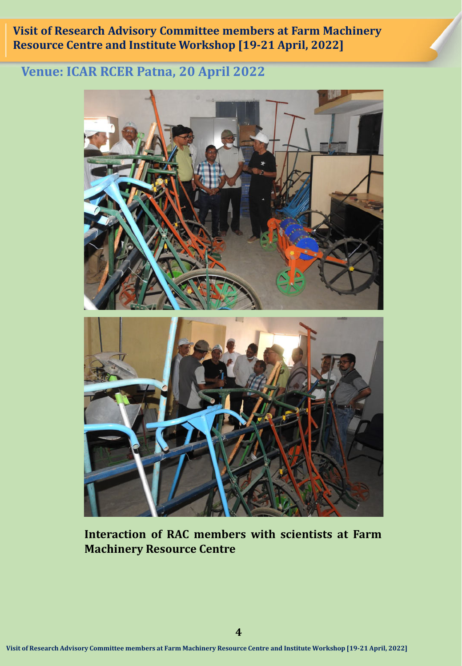## **Venue: ICAR RCER Patna, 20 April 2022**



**Interaction of RAC members with scientists at Farm Machinery Resource Centre**